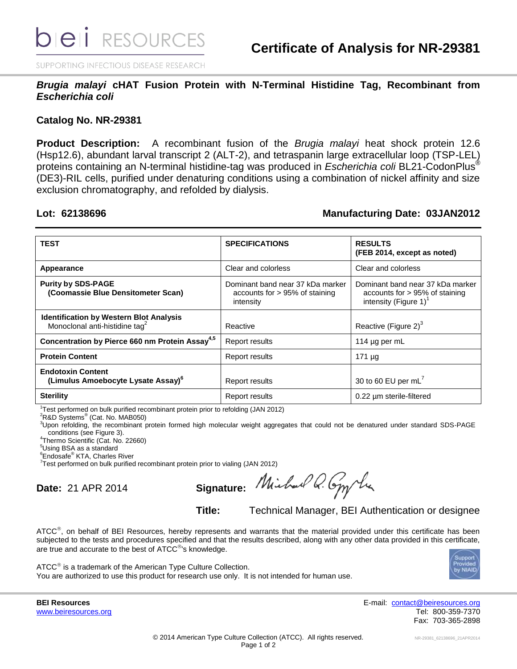SUPPORTING INFECTIOUS DISEASE RESEARCH

*Brugia malayi* **cHAT Fusion Protein with N-Terminal Histidine Tag, Recombinant from**  *Escherichia coli*

## **Catalog No. NR-29381**

**Product Description:** A recombinant fusion of the *Brugia malayi* heat shock protein 12.6 (Hsp12.6), abundant larval transcript 2 (ALT-2), and tetraspanin large extracellular loop (TSP-LEL) proteins containing an N-terminal histidine-tag was produced in *Escherichia coli* BL21-CodonPlus® (DE3)-RIL cells, purified under denaturing conditions using a combination of nickel affinity and size exclusion chromatography, and refolded by dialysis.

## **Lot: 62138696 Manufacturing Date: 03JAN2012**

| <b>TEST</b>                                                                                  | <b>SPECIFICATIONS</b>                                                              | <b>RESULTS</b><br>(FEB 2014, except as noted)                                                     |
|----------------------------------------------------------------------------------------------|------------------------------------------------------------------------------------|---------------------------------------------------------------------------------------------------|
| Appearance                                                                                   | Clear and colorless                                                                | Clear and colorless                                                                               |
| <b>Purity by SDS-PAGE</b><br>(Coomassie Blue Densitometer Scan)                              | Dominant band near 37 kDa marker<br>accounts for $> 95\%$ of staining<br>intensity | Dominant band near 37 kDa marker<br>accounts for $> 95\%$ of staining<br>intensity (Figure 1) $1$ |
| <b>Identification by Western Blot Analysis</b><br>Monoclonal anti-histidine tag <sup>2</sup> | Reactive                                                                           | Reactive (Figure 2) <sup>3</sup>                                                                  |
| Concentration by Pierce 660 nm Protein Assay <sup>4,5</sup>                                  | Report results                                                                     | 114 $\mu$ g per mL                                                                                |
| <b>Protein Content</b>                                                                       | <b>Report results</b>                                                              | $171 \mu g$                                                                                       |
| <b>Endotoxin Content</b><br>(Limulus Amoebocyte Lysate Assay) <sup>6</sup>                   | Report results                                                                     | 30 to 60 EU per mL $^7$                                                                           |
| <b>Sterility</b>                                                                             | Report results                                                                     | 0.22 um sterile-filtered                                                                          |

<sup>1</sup> Test performed on bulk purified recombinant protein prior to refolding (JAN 2012)

<sup>2</sup>R&D Systems<sup>®</sup> (Cat. No. MAB050)

<sup>3</sup>Upon refolding, the recombinant protein formed high molecular weight aggregates that could not be denatured under standard SDS-PAGE conditions (see Figure 3).

4 Thermo Scientific (Cat. No. 22660)

<sup>5</sup>Using BSA as a standard

**Endosafe<sup>®</sup> KTA, Charles River** 

<sup>7</sup> Test performed on bulk purified recombinant protein prior to vialing (JAN 2012)

**Date:** 21 APR 2014 **Signature:**

**Title:** Technical Manager, BEI Authentication or designee

ATCC<sup>®</sup>, on behalf of BEI Resources, hereby represents and warrants that the material provided under this certificate has been subjected to the tests and procedures specified and that the results described, along with any other data provided in this certificate, are true and accurate to the best of  $ATCC^@$ 's knowledge.



ATCC<sup>®</sup> is a trademark of the American Type Culture Collection. You are authorized to use this product for research use only. It is not intended for human use.

**BEI Resources** E-mail: [contact@beiresources.org](mailto:contact@beiresources.org) [www.beiresources.org](http://www.beiresources.org/) **Tel: 800-359-7370** Fax: 703-365-2898